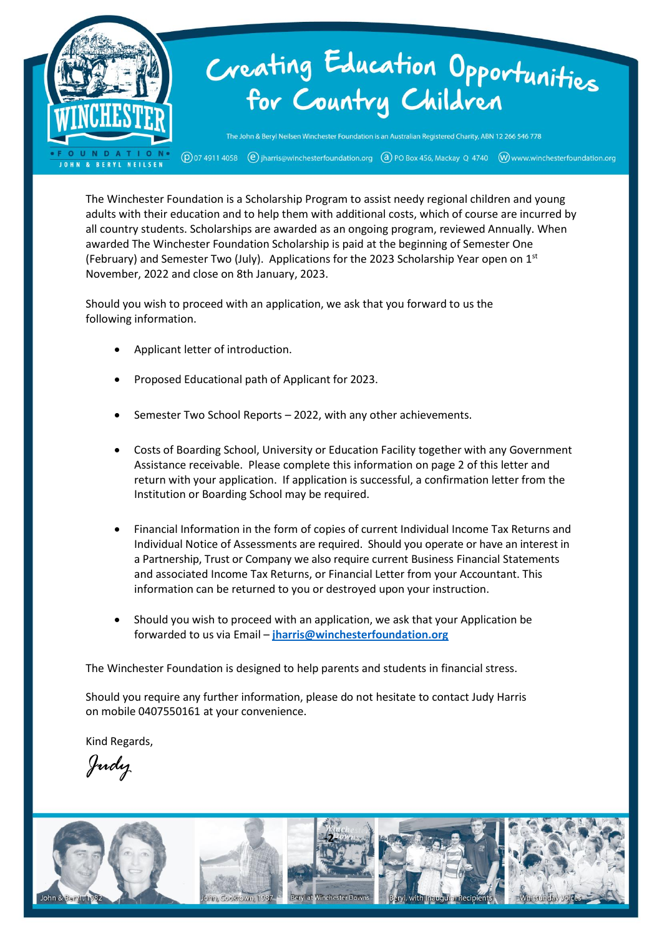

The Winchester Foundation is a Scholarship Program to assist needy regional children and young adults with their education and to help them with additional costs, which of course are incurred by all country students. Scholarships are awarded as an ongoing program, reviewed Annually. When awarded The Winchester Foundation Scholarship is paid at the beginning of Semester One (February) and Semester Two (July). Applications for the 2023 Scholarship Year open on  $1^{st}$ November, 2022 and close on 8th January, 2023.

Should you wish to proceed with an application, we ask that you forward to us the following information.

- Applicant letter of introduction.
- Proposed Educational path of Applicant for 2023.
- Semester Two School Reports 2022, with any other achievements.
- Costs of Boarding School, University or Education Facility together with any Government Assistance receivable. Please complete this information on page 2 of this letter and return with your application. If application is successful, a confirmation letter from the Institution or Boarding School may be required.
- Financial Information in the form of copies of current Individual Income Tax Returns and Individual Notice of Assessments are required. Should you operate or have an interest in a Partnership, Trust or Company we also require current Business Financial Statements and associated Income Tax Returns, or Financial Letter from your Accountant. This information can be returned to you or destroyed upon your instruction.
- Should you wish to proceed with an application, we ask that your Application be forwarded to us via Email – **[jharris@winchesterfoundation.org](mailto:jharris@winchesterfoundation.org)**

The Winchester Foundation is designed to help parents and students in financial stress.

Should you require any further information, please do not hesitate to contact Judy Harris on mobile 0407550161 at your convenience.

Kind Regards,

*Judy*